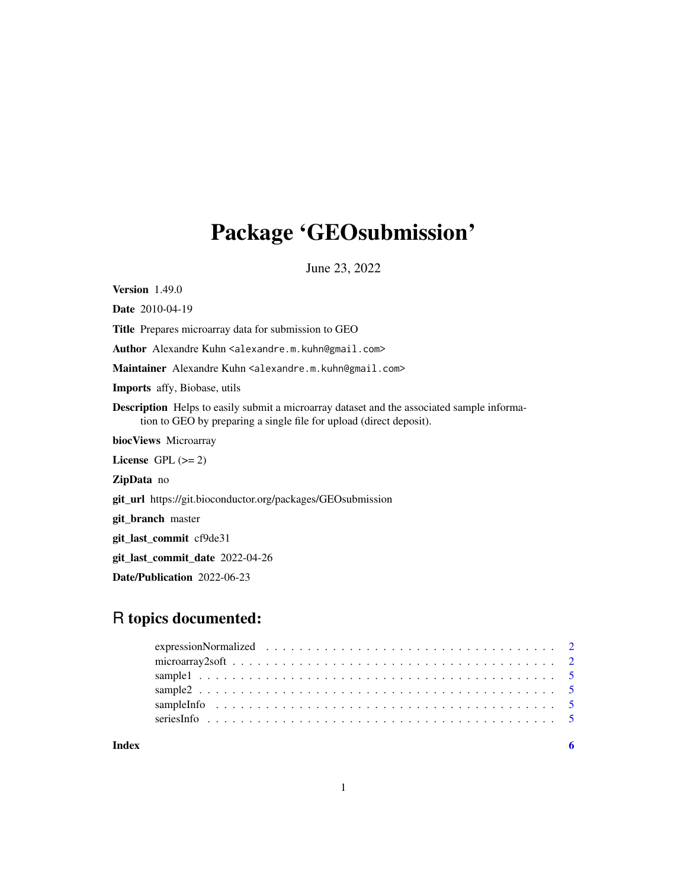## Package 'GEOsubmission'

June 23, 2022

Version 1.49.0

Date 2010-04-19

Title Prepares microarray data for submission to GEO

Author Alexandre Kuhn <alexandre.m.kuhn@gmail.com>

Maintainer Alexandre Kuhn <alexandre.m.kuhn@gmail.com>

Imports affy, Biobase, utils

Description Helps to easily submit a microarray dataset and the associated sample information to GEO by preparing a single file for upload (direct deposit).

biocViews Microarray

License GPL  $(>= 2)$ 

ZipData no

git\_url https://git.bioconductor.org/packages/GEOsubmission

git\_branch master

git\_last\_commit cf9de31

git\_last\_commit\_date 2022-04-26

Date/Publication 2022-06-23

## R topics documented:

| Index |  |
|-------|--|

1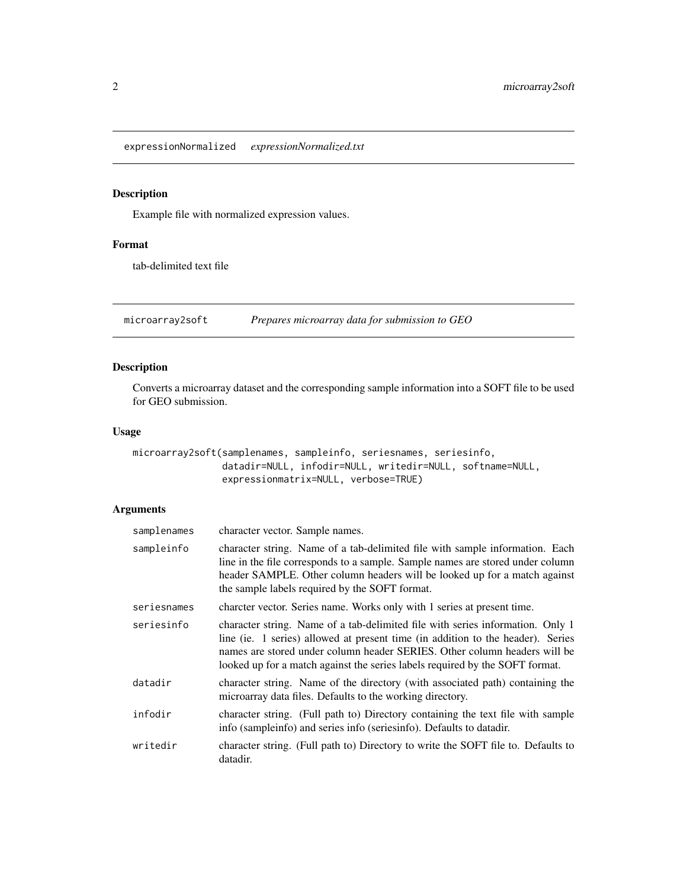<span id="page-1-0"></span>expressionNormalized *expressionNormalized.txt*

#### Description

Example file with normalized expression values.

#### Format

tab-delimited text file

microarray2soft *Prepares microarray data for submission to GEO*

#### Description

Converts a microarray dataset and the corresponding sample information into a SOFT file to be used for GEO submission.

#### Usage

```
microarray2soft(samplenames, sampleinfo, seriesnames, seriesinfo,
                datadir=NULL, infodir=NULL, writedir=NULL, softname=NULL,
                expressionmatrix=NULL, verbose=TRUE)
```
#### Arguments

| samplenames | character vector. Sample names.                                                                                                                                                                                                                                                                                                |
|-------------|--------------------------------------------------------------------------------------------------------------------------------------------------------------------------------------------------------------------------------------------------------------------------------------------------------------------------------|
| sampleinfo  | character string. Name of a tab-delimited file with sample information. Each<br>line in the file corresponds to a sample. Sample names are stored under column<br>header SAMPLE. Other column headers will be looked up for a match against<br>the sample labels required by the SOFT format.                                  |
| seriesnames | charcter vector. Series name. Works only with 1 series at present time.                                                                                                                                                                                                                                                        |
| seriesinfo  | character string. Name of a tab-delimited file with series information. Only 1<br>line (ie. 1 series) allowed at present time (in addition to the header). Series<br>names are stored under column header SERIES. Other column headers will be<br>looked up for a match against the series labels required by the SOFT format. |
| datadir     | character string. Name of the directory (with associated path) containing the<br>microarray data files. Defaults to the working directory.                                                                                                                                                                                     |
| infodir     | character string. (Full path to) Directory containing the text file with sample<br>info (sampleinfo) and series info (seriesinfo). Defaults to datadir.                                                                                                                                                                        |
| writedir    | character string. (Full path to) Directory to write the SOFT file to. Defaults to<br>datadir.                                                                                                                                                                                                                                  |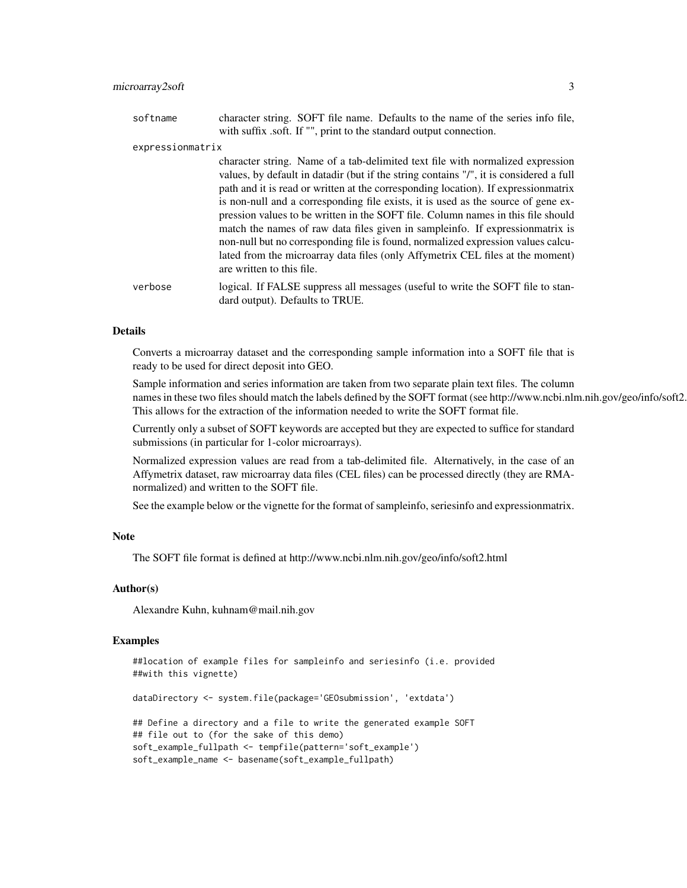| softname         | character string. SOFT file name. Defaults to the name of the series info file,<br>with suffix .soft. If "", print to the standard output connection.                    |
|------------------|--------------------------------------------------------------------------------------------------------------------------------------------------------------------------|
| expressionmatrix |                                                                                                                                                                          |
|                  | character string. Name of a tab-delimited text file with normalized expression<br>values, by default in datadir (but if the string contains "/", it is considered a full |
|                  | path and it is read or written at the corresponding location). If expression matrix                                                                                      |
|                  | is non-null and a corresponding file exists, it is used as the source of gene ex-                                                                                        |
|                  | pression values to be written in the SOFT file. Column names in this file should                                                                                         |
|                  | match the names of raw data files given in sampleinfo. If expressionmatrix is                                                                                            |

non-null but no corresponding file is found, normalized expression values calculated from the microarray data files (only Affymetrix CEL files at the moment)

are written to this file. verbose logical. If FALSE suppress all messages (useful to write the SOFT file to standard output). Defaults to TRUE.

#### Details

Converts a microarray dataset and the corresponding sample information into a SOFT file that is ready to be used for direct deposit into GEO.

Sample information and series information are taken from two separate plain text files. The column names in these two files should match the labels defined by the SOFT format (see http://www.ncbi.nlm.nih.gov/geo/info/soft2. This allows for the extraction of the information needed to write the SOFT format file.

Currently only a subset of SOFT keywords are accepted but they are expected to suffice for standard submissions (in particular for 1-color microarrays).

Normalized expression values are read from a tab-delimited file. Alternatively, in the case of an Affymetrix dataset, raw microarray data files (CEL files) can be processed directly (they are RMAnormalized) and written to the SOFT file.

See the example below or the vignette for the format of sampleinfo, seriesinfo and expressionmatrix.

#### **Note**

The SOFT file format is defined at http://www.ncbi.nlm.nih.gov/geo/info/soft2.html

#### Author(s)

Alexandre Kuhn, kuhnam@mail.nih.gov

#### Examples

```
##location of example files for sampleinfo and seriesinfo (i.e. provided
##with this vignette)
dataDirectory <- system.file(package='GEOsubmission', 'extdata')
## Define a directory and a file to write the generated example SOFT
## file out to (for the sake of this demo)
soft_example_fullpath <- tempfile(pattern='soft_example')
soft_example_name <- basename(soft_example_fullpath)
```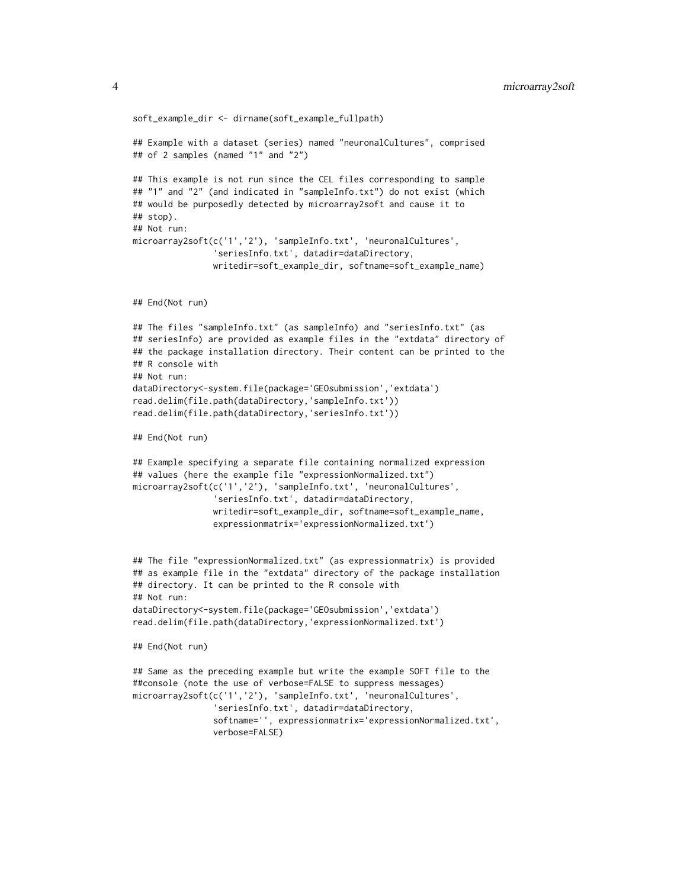```
soft_example_dir <- dirname(soft_example_fullpath)
## Example with a dataset (series) named "neuronalCultures", comprised
## of 2 samples (named "1" and "2")
## This example is not run since the CEL files corresponding to sample
## "1" and "2" (and indicated in "sampleInfo.txt") do not exist (which
## would be purposedly detected by microarray2soft and cause it to
## stop).
## Not run:
microarray2soft(c('1','2'), 'sampleInfo.txt', 'neuronalCultures',
                'seriesInfo.txt', datadir=dataDirectory,
                writedir=soft_example_dir, softname=soft_example_name)
## End(Not run)
## The files "sampleInfo.txt" (as sampleInfo) and "seriesInfo.txt" (as
## seriesInfo) are provided as example files in the "extdata" directory of
## the package installation directory. Their content can be printed to the
## R console with
## Not run:
dataDirectory<-system.file(package='GEOsubmission','extdata')
read.delim(file.path(dataDirectory,'sampleInfo.txt'))
read.delim(file.path(dataDirectory,'seriesInfo.txt'))
## End(Not run)
## Example specifying a separate file containing normalized expression
## values (here the example file "expressionNormalized.txt")
microarray2soft(c('1','2'), 'sampleInfo.txt', 'neuronalCultures',
                'seriesInfo.txt', datadir=dataDirectory,
                writedir=soft_example_dir, softname=soft_example_name,
                expressionmatrix='expressionNormalized.txt')
## The file "expressionNormalized.txt" (as expressionmatrix) is provided
## as example file in the "extdata" directory of the package installation
## directory. It can be printed to the R console with
## Not run:
dataDirectory<-system.file(package='GEOsubmission','extdata')
read.delim(file.path(dataDirectory,'expressionNormalized.txt')
## End(Not run)
## Same as the preceding example but write the example SOFT file to the
##console (note the use of verbose=FALSE to suppress messages)
microarray2soft(c('1','2'), 'sampleInfo.txt', 'neuronalCultures',
                'seriesInfo.txt', datadir=dataDirectory,
                softname='', expressionmatrix='expressionNormalized.txt',
                verbose=FALSE)
```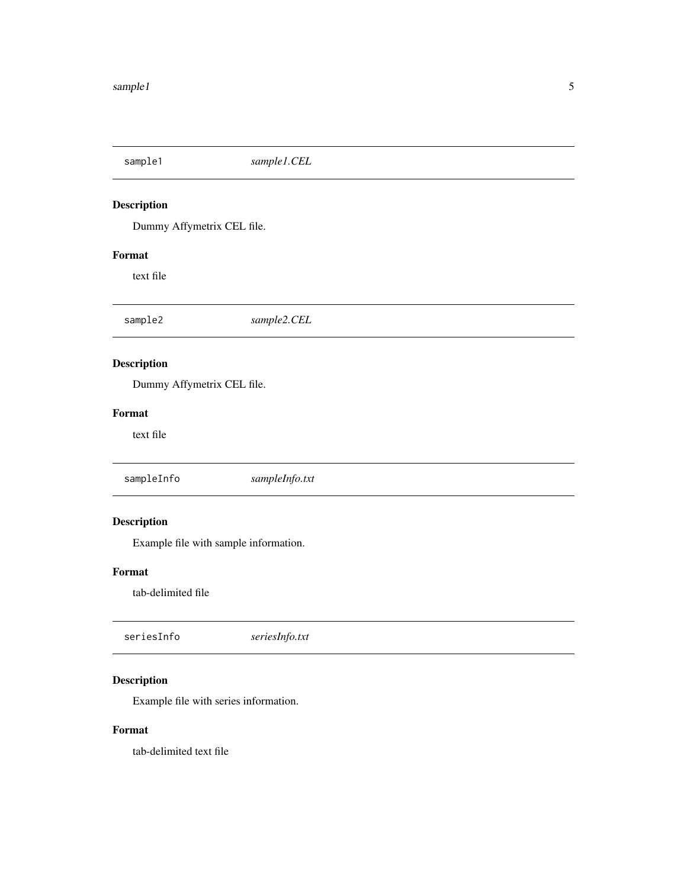<span id="page-4-0"></span>sample1 *sample1.CEL* Description Dummy Affymetrix CEL file. Format text file sample2 *sample2.CEL* Description Dummy Affymetrix CEL file. Format text file sampleInfo *sampleInfo.txt* Description Example file with sample information. Format tab-delimited file seriesInfo *seriesInfo.txt*

### Description

Example file with series information.

#### Format

tab-delimited text file